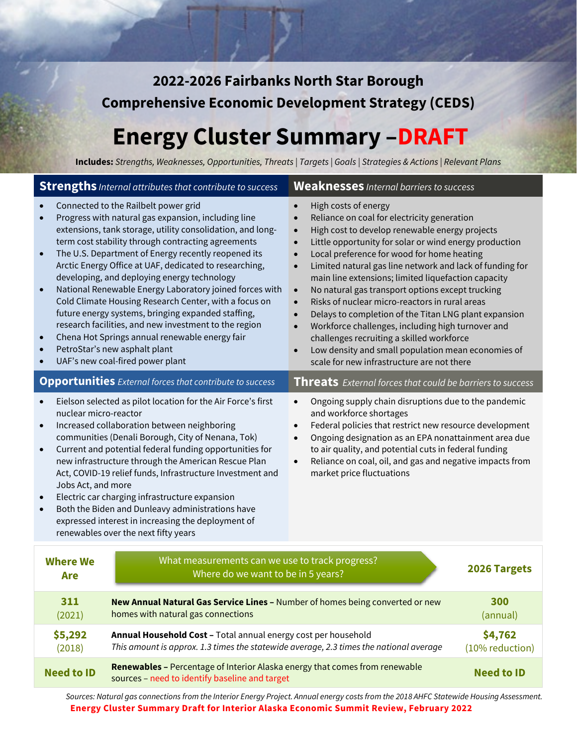**2022-2026 Fairbanks North Star Borough Comprehensive Economic Development Strategy (CEDS)** 

# **Energy Cluster Summary –DRAFT**

**Includes:** *Strengths, Weaknesses, Opportunities, Threats | Targets | Goals | Strategies & Actions | Relevant Plans*

|                                                                                                                                                                                                                                                                                                                                                                                                                                                                                                                                                                                                                                                                                                                                                        | <b>Strengths</b> <i>Internal attributes that contribute to success</i>                                                                                                                 | <b>Weaknesses</b> Internal barriers to success                                                                                                                                                                                                                                                                                                                                                                                                                                                                                                                                                                                                                                                                                                                                                                                                                       |  |
|--------------------------------------------------------------------------------------------------------------------------------------------------------------------------------------------------------------------------------------------------------------------------------------------------------------------------------------------------------------------------------------------------------------------------------------------------------------------------------------------------------------------------------------------------------------------------------------------------------------------------------------------------------------------------------------------------------------------------------------------------------|----------------------------------------------------------------------------------------------------------------------------------------------------------------------------------------|----------------------------------------------------------------------------------------------------------------------------------------------------------------------------------------------------------------------------------------------------------------------------------------------------------------------------------------------------------------------------------------------------------------------------------------------------------------------------------------------------------------------------------------------------------------------------------------------------------------------------------------------------------------------------------------------------------------------------------------------------------------------------------------------------------------------------------------------------------------------|--|
| Connected to the Railbelt power grid<br>Progress with natural gas expansion, including line<br>$\bullet$<br>extensions, tank storage, utility consolidation, and long-<br>term cost stability through contracting agreements<br>The U.S. Department of Energy recently reopened its<br>Arctic Energy Office at UAF, dedicated to researching,<br>developing, and deploying energy technology<br>National Renewable Energy Laboratory joined forces with<br>Cold Climate Housing Research Center, with a focus on<br>future energy systems, bringing expanded staffing,<br>research facilities, and new investment to the region<br>Chena Hot Springs annual renewable energy fair<br>PetroStar's new asphalt plant<br>UAF's new coal-fired power plant |                                                                                                                                                                                        | High costs of energy<br>$\bullet$<br>Reliance on coal for electricity generation<br>$\bullet$<br>High cost to develop renewable energy projects<br>$\bullet$<br>Little opportunity for solar or wind energy production<br>$\bullet$<br>Local preference for wood for home heating<br>$\bullet$<br>Limited natural gas line network and lack of funding for<br>$\bullet$<br>main line extensions; limited liquefaction capacity<br>No natural gas transport options except trucking<br>$\bullet$<br>Risks of nuclear micro-reactors in rural areas<br>$\bullet$<br>Delays to completion of the Titan LNG plant expansion<br>$\bullet$<br>Workforce challenges, including high turnover and<br>$\bullet$<br>challenges recruiting a skilled workforce<br>Low density and small population mean economies of<br>$\bullet$<br>scale for new infrastructure are not there |  |
|                                                                                                                                                                                                                                                                                                                                                                                                                                                                                                                                                                                                                                                                                                                                                        | <b>Opportunities</b> External forces that contribute to success                                                                                                                        | Threats External forces that could be barriers to success                                                                                                                                                                                                                                                                                                                                                                                                                                                                                                                                                                                                                                                                                                                                                                                                            |  |
| Eielson selected as pilot location for the Air Force's first<br>$\bullet$<br>nuclear micro-reactor<br>Increased collaboration between neighboring<br>$\bullet$<br>communities (Denali Borough, City of Nenana, Tok)<br>Current and potential federal funding opportunities for<br>$\bullet$<br>new infrastructure through the American Rescue Plan<br>Act, COVID-19 relief funds, Infrastructure Investment and<br>Jobs Act, and more<br>Electric car charging infrastructure expansion<br>Both the Biden and Dunleavy administrations have<br>expressed interest in increasing the deployment of<br>renewables over the next fifty years                                                                                                              |                                                                                                                                                                                        | Ongoing supply chain disruptions due to the pandemic<br>$\bullet$<br>and workforce shortages<br>Federal policies that restrict new resource development<br>$\bullet$<br>Ongoing designation as an EPA nonattainment area due<br>$\bullet$<br>to air quality, and potential cuts in federal funding<br>Reliance on coal, oil, and gas and negative impacts from<br>$\bullet$<br>market price fluctuations                                                                                                                                                                                                                                                                                                                                                                                                                                                             |  |
| What measurements can we use to track progress?<br><b>Where We</b><br>Where do we want to be in 5 years?<br>Are                                                                                                                                                                                                                                                                                                                                                                                                                                                                                                                                                                                                                                        |                                                                                                                                                                                        | 2026 Targets                                                                                                                                                                                                                                                                                                                                                                                                                                                                                                                                                                                                                                                                                                                                                                                                                                                         |  |
| 311<br>(2021)                                                                                                                                                                                                                                                                                                                                                                                                                                                                                                                                                                                                                                                                                                                                          | New Annual Natural Gas Service Lines - Number of homes being converted or new<br>300<br>homes with natural gas connections<br>(annual)                                                 |                                                                                                                                                                                                                                                                                                                                                                                                                                                                                                                                                                                                                                                                                                                                                                                                                                                                      |  |
| \$5,292<br>(2018)                                                                                                                                                                                                                                                                                                                                                                                                                                                                                                                                                                                                                                                                                                                                      | \$4,762<br>Annual Household Cost - Total annual energy cost per household<br>This amount is approx. 1.3 times the statewide average, 2.3 times the national average<br>(10% reduction) |                                                                                                                                                                                                                                                                                                                                                                                                                                                                                                                                                                                                                                                                                                                                                                                                                                                                      |  |
| <b>Need to ID</b>                                                                                                                                                                                                                                                                                                                                                                                                                                                                                                                                                                                                                                                                                                                                      | Renewables - Percentage of Interior Alaska energy that comes from renewable<br><b>Need to ID</b><br>sources - need to identify baseline and target                                     |                                                                                                                                                                                                                                                                                                                                                                                                                                                                                                                                                                                                                                                                                                                                                                                                                                                                      |  |

**Energy Cluster Summary Draft for Interior Alaska Economic Summit Review, February 2022** *Sources: Natural gas connections from the Interior Energy Project. Annual energy costs from the 2018 AHFC Statewide Housing Assessment.*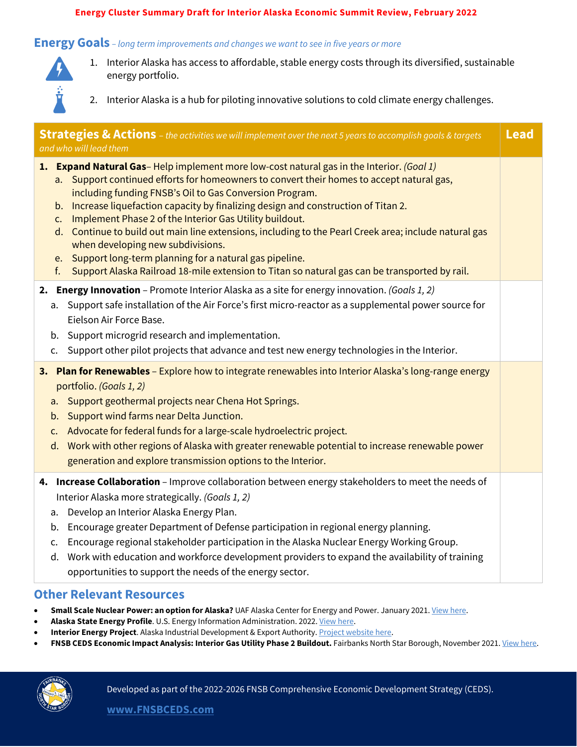#### **Energy Cluster Summary Draft for Interior Alaska Economic Summit Review, February 2022**

#### **Energy Goals** *– long term improvements and changes we want to see in five years or more*



- 1. Interior Alaska has access to affordable, stable energy costs through its diversified, sustainable energy portfolio.
- 2. Interior Alaska is a hub for piloting innovative solutions to cold climate energy challenges.

| <b>Strategies &amp; Actions</b> – the activities we will implement over the next 5 years to accomplish goals & targets<br>and who will lead them                                                                                                                                                                                                                                                                                                                                                                                                                                                                                                                                                                        | <b>Lead</b> |
|-------------------------------------------------------------------------------------------------------------------------------------------------------------------------------------------------------------------------------------------------------------------------------------------------------------------------------------------------------------------------------------------------------------------------------------------------------------------------------------------------------------------------------------------------------------------------------------------------------------------------------------------------------------------------------------------------------------------------|-------------|
| 1. Expand Natural Gas-Help implement more low-cost natural gas in the Interior. (Goal 1)<br>a. Support continued efforts for homeowners to convert their homes to accept natural gas,<br>including funding FNSB's Oil to Gas Conversion Program.<br>b. Increase liquefaction capacity by finalizing design and construction of Titan 2.<br>Implement Phase 2 of the Interior Gas Utility buildout.<br>C.<br>d. Continue to build out main line extensions, including to the Pearl Creek area; include natural gas<br>when developing new subdivisions.<br>e. Support long-term planning for a natural gas pipeline.<br>f. Support Alaska Railroad 18-mile extension to Titan so natural gas can be transported by rail. |             |
| 2. Energy Innovation - Promote Interior Alaska as a site for energy innovation. (Goals 1, 2)<br>Support safe installation of the Air Force's first micro-reactor as a supplemental power source for<br>a.<br>Eielson Air Force Base.<br>Support microgrid research and implementation.<br>b.<br>Support other pilot projects that advance and test new energy technologies in the Interior.<br>C.                                                                                                                                                                                                                                                                                                                       |             |
| 3. Plan for Renewables - Explore how to integrate renewables into Interior Alaska's long-range energy<br>portfolio. (Goals 1, 2)<br>Support geothermal projects near Chena Hot Springs.<br>a.<br>Support wind farms near Delta Junction.<br>b.<br>Advocate for federal funds for a large-scale hydroelectric project.<br>c.<br>Work with other regions of Alaska with greater renewable potential to increase renewable power<br>d.<br>generation and explore transmission options to the Interior.                                                                                                                                                                                                                     |             |
| 4. Increase Collaboration - Improve collaboration between energy stakeholders to meet the needs of<br>Interior Alaska more strategically. (Goals 1, 2)<br>Develop an Interior Alaska Energy Plan.<br>a.<br>Encourage greater Department of Defense participation in regional energy planning.<br>b.<br>Encourage regional stakeholder participation in the Alaska Nuclear Energy Working Group.<br>c.<br>Work with education and workforce development providers to expand the availability of training<br>d.<br>opportunities to support the needs of the energy sector.                                                                                                                                               |             |

#### **Other Relevant Resources**

- **Small Scale Nuclear Power: an option for Alaska?** UAF Alaska Center for Energy and Power. January 2021[. View here.](https://acep.uaf.edu/media/303519/ACEP_Nuclear_Report_2020.pdf)
- Alaska State Energy Profile. U.S. Energy Information Administration. 2022[. View here.](https://www.eia.gov/state/print.php?sid=AK)
- **Interior Energy Project**. Alaska Industrial Development & Export Authority[. Project website here.](https://interiorenergyproject.com/)
- FNSB CEDS Economic Impact Analysis: Interior Gas Utility Phase 2 Buildout. Fairbanks North Star Borough, November 2021[. View here.](https://fnsbceds.com/wp-content/uploads/2021/12/11-17-21_FNSB_CEDS_IGU_Phase_2_Analysis.pdf)

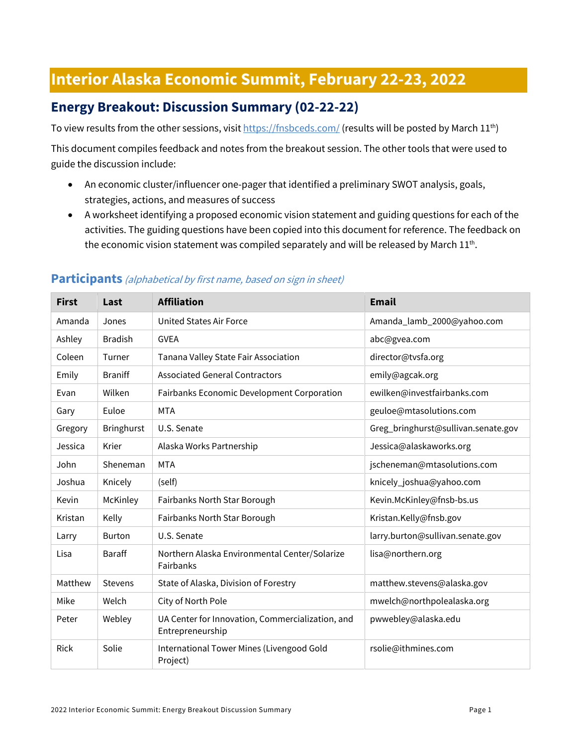## **Interior Alaska Economic Summit, February 22-23, 2022**

## **Energy Breakout: Discussion Summary (02-22-22)**

To view results from the other sessions, visi[t https://fnsbceds.com/](https://fnsbceds.com/) (results will be posted by March 11<sup>th</sup>)

This document compiles feedback and notes from the breakout session. The other tools that were used to guide the discussion include:

- An economic cluster/influencer one-pager that identified a preliminary SWOT analysis, goals, strategies, actions, and measures of success
- A worksheet identifying a proposed economic vision statement and guiding questions for each of the activities. The guiding questions have been copied into this document for reference. The feedback on the economic vision statement was compiled separately and will be released by March  $11^{th}$ .

| <b>First</b> | Last              | <b>Affiliation</b>                                                   | <b>Email</b>                        |
|--------------|-------------------|----------------------------------------------------------------------|-------------------------------------|
| Amanda       | Jones             | <b>United States Air Force</b>                                       | Amanda_lamb_2000@yahoo.com          |
| Ashley       | <b>Bradish</b>    | <b>GVEA</b>                                                          | abc@gvea.com                        |
| Coleen       | Turner            | Tanana Valley State Fair Association                                 | director@tvsfa.org                  |
| Emily        | <b>Braniff</b>    | <b>Associated General Contractors</b>                                | emily@agcak.org                     |
| Evan         | Wilken            | Fairbanks Economic Development Corporation                           | ewilken@investfairbanks.com         |
| Gary         | Euloe             | <b>MTA</b>                                                           | geuloe@mtasolutions.com             |
| Gregory      | <b>Bringhurst</b> | U.S. Senate                                                          | Greg_bringhurst@sullivan.senate.gov |
| Jessica      | Krier             | Alaska Works Partnership                                             | Jessica@alaskaworks.org             |
| John         | Sheneman          | <b>MTA</b>                                                           | jscheneman@mtasolutions.com         |
| Joshua       | Knicely           | (self)                                                               | knicely_joshua@yahoo.com            |
| Kevin        | McKinley          | Fairbanks North Star Borough                                         | Kevin.McKinley@fnsb-bs.us           |
| Kristan      | Kelly             | Fairbanks North Star Borough                                         | Kristan.Kelly@fnsb.gov              |
| Larry        | <b>Burton</b>     | U.S. Senate                                                          | larry.burton@sullivan.senate.gov    |
| Lisa         | <b>Baraff</b>     | Northern Alaska Environmental Center/Solarize<br>Fairbanks           | lisa@northern.org                   |
| Matthew      | <b>Stevens</b>    | State of Alaska, Division of Forestry                                | matthew.stevens@alaska.gov          |
| Mike         | Welch             | City of North Pole                                                   | mwelch@northpolealaska.org          |
| Peter        | Webley            | UA Center for Innovation, Commercialization, and<br>Entrepreneurship | pwwebley@alaska.edu                 |
| <b>Rick</b>  | Solie             | International Tower Mines (Livengood Gold<br>Project)                | rsolie@ithmines.com                 |

#### **Participants** (alphabetical by first name, based on sign in sheet)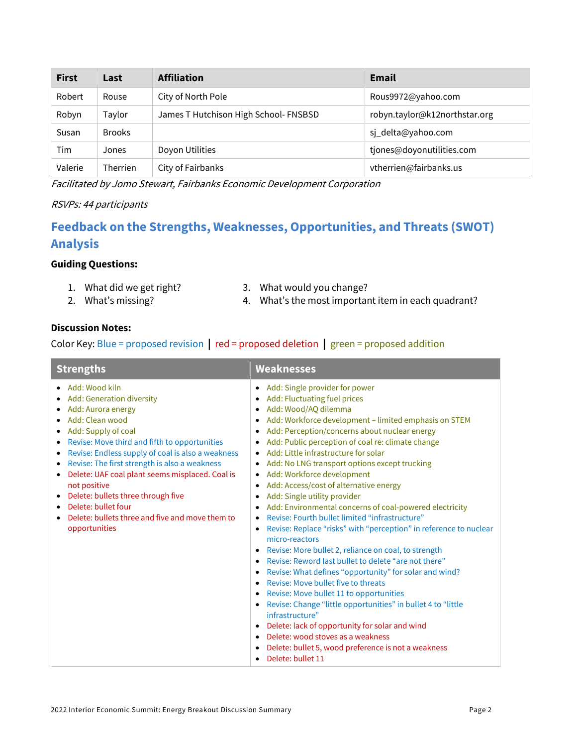| <b>First</b> | Last            | <b>Affiliation</b>                    | <b>Email</b>                  |
|--------------|-----------------|---------------------------------------|-------------------------------|
| Robert       | Rouse           | City of North Pole                    | Rous9972@yahoo.com            |
| Robyn        | Taylor          | James T Hutchison High School- FNSBSD | robyn.taylor@k12northstar.org |
| Susan        | <b>Brooks</b>   |                                       | sj_delta@yahoo.com            |
| Tim          | Jones           | Doyon Utilities                       | tjones@doyonutilities.com     |
| Valerie      | <b>Therrien</b> | City of Fairbanks                     | vtherrien@fairbanks.us        |

Facilitated by Jomo Stewart, Fairbanks Economic Development Corporation

#### RSVPs: 44 participants

## **Feedback on the Strengths, Weaknesses, Opportunities, and Threats (SWOT) Analysis**

#### **Guiding Questions:**

- 1. What did we get right?
- 2. What's missing?
- 3. What would you change?
- 4. What's the most important item in each quadrant?

#### **Discussion Notes:**

Color Key: Blue = proposed revision **|** red = proposed deletion **|** green = proposed addition

| <b>Strengths</b>                                                                                                                                                                                                                                                                                                                                                                                                                                                                                                                                                  | <b>Weaknesses</b>                                                                                                                                                                                                                                                                                                                                                                                                                                                                                                                                                                                                                                                                                                                                                                                                                                                                                                                                                                                                                                                                                                                                                                                                                                                                                                            |  |
|-------------------------------------------------------------------------------------------------------------------------------------------------------------------------------------------------------------------------------------------------------------------------------------------------------------------------------------------------------------------------------------------------------------------------------------------------------------------------------------------------------------------------------------------------------------------|------------------------------------------------------------------------------------------------------------------------------------------------------------------------------------------------------------------------------------------------------------------------------------------------------------------------------------------------------------------------------------------------------------------------------------------------------------------------------------------------------------------------------------------------------------------------------------------------------------------------------------------------------------------------------------------------------------------------------------------------------------------------------------------------------------------------------------------------------------------------------------------------------------------------------------------------------------------------------------------------------------------------------------------------------------------------------------------------------------------------------------------------------------------------------------------------------------------------------------------------------------------------------------------------------------------------------|--|
| • Add: Wood kiln<br>• Add: Generation diversity<br>Add: Aurora energy<br>٠<br>$\bullet$ Add: Clean wood<br>Add: Supply of coal<br>$\bullet$<br>Revise: Move third and fifth to opportunities<br>$\bullet$<br>Revise: Endless supply of coal is also a weakness<br>٠<br>Revise: The first strength is also a weakness<br>$\bullet$<br>Delete: UAF coal plant seems misplaced. Coal is<br>$\bullet$<br>not positive<br>Delete: bullets three through five<br>$\bullet$<br>• Delete: bullet four<br>Delete: bullets three and five and move them to<br>opportunities | • Add: Single provider for power<br>Add: Fluctuating fuel prices<br>$\bullet$<br>Add: Wood/AQ dilemma<br>$\bullet$<br>• Add: Workforce development - limited emphasis on STEM<br>Add: Perception/concerns about nuclear energy<br>٠<br>Add: Public perception of coal re: climate change<br>Add: Little infrastructure for solar<br>$\bullet$<br>Add: No LNG transport options except trucking<br>$\bullet$<br>Add: Workforce development<br>Add: Access/cost of alternative energy<br>٠<br>Add: Single utility provider<br>Add: Environmental concerns of coal-powered electricity<br>Revise: Fourth bullet limited "infrastructure"<br>$\bullet$<br>Revise: Replace "risks" with "perception" in reference to nuclear<br>$\bullet$<br>micro-reactors<br>Revise: More bullet 2, reliance on coal, to strength<br>$\bullet$<br>Revise: Reword last bullet to delete "are not there"<br>Revise: What defines "opportunity" for solar and wind?<br>$\bullet$<br>Revise: Move bullet five to threats<br>$\bullet$<br>Revise: Move bullet 11 to opportunities<br>$\bullet$<br>Revise: Change "little opportunities" in bullet 4 to "little<br>infrastructure"<br>Delete: lack of opportunity for solar and wind<br>Delete: wood stoves as a weakness<br>Delete: bullet 5, wood preference is not a weakness<br>Delete: bullet 11 |  |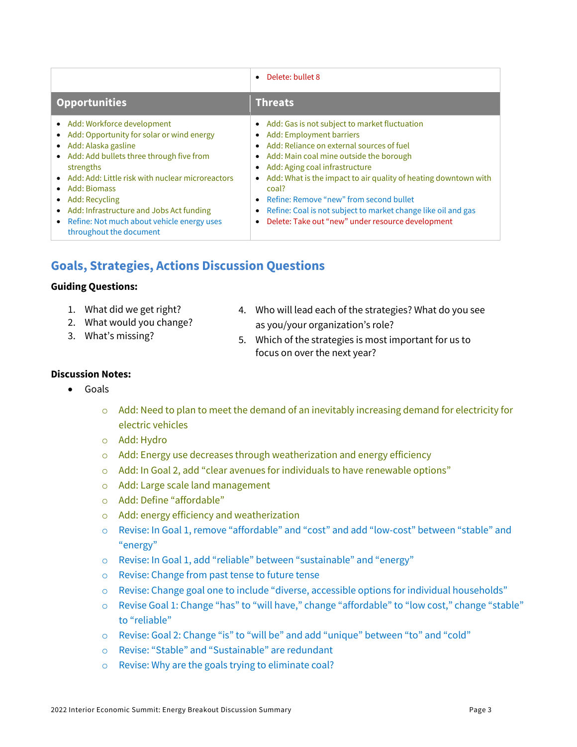|                                                                                                                                                                                                                                                                                                                                                                                           | Delete: bullet 8<br>$\bullet$                                                                                                                                                                                                                                                                                                                                                                                                                                                                  |
|-------------------------------------------------------------------------------------------------------------------------------------------------------------------------------------------------------------------------------------------------------------------------------------------------------------------------------------------------------------------------------------------|------------------------------------------------------------------------------------------------------------------------------------------------------------------------------------------------------------------------------------------------------------------------------------------------------------------------------------------------------------------------------------------------------------------------------------------------------------------------------------------------|
| <b>Opportunities</b>                                                                                                                                                                                                                                                                                                                                                                      | <b>Threats</b>                                                                                                                                                                                                                                                                                                                                                                                                                                                                                 |
| • Add: Workforce development<br>Add: Opportunity for solar or wind energy<br>• Add: Alaska gasline<br>• Add: Add bullets three through five from<br>strengths<br>• Add: Add: Little risk with nuclear microreactors<br>Add: Biomass<br>Add: Recycling<br>Add: Infrastructure and Jobs Act funding<br>$\bullet$<br>• Refine: Not much about vehicle energy uses<br>throughout the document | • Add: Gas is not subject to market fluctuation<br>Add: Employment barriers<br>$\bullet$<br>Add: Reliance on external sources of fuel<br>Add: Main coal mine outside the borough<br>$\bullet$<br>Add: Aging coal infrastructure<br>Add: What is the impact to air quality of heating downtown with<br>$\bullet$<br>coal?<br>Refine: Remove "new" from second bullet<br>Refine: Coal is not subject to market change like oil and gas<br>٠<br>Delete: Take out "new" under resource development |

## **Goals, Strategies, Actions Discussion Questions**

#### **Guiding Questions:**

- 1. What did we get right?
- 2. What would you change?
- 3. What's missing?
- 4. Who will lead each of the strategies? What do you see as you/your organization's role?
- 5. Which of the strategies is most important for us to focus on over the next year?

#### **Discussion Notes:**

- Goals
	- $\circ$  Add: Need to plan to meet the demand of an inevitably increasing demand for electricity for electric vehicles
	- o Add: Hydro
	- o Add: Energy use decreases through weatherization and energy efficiency
	- o Add: In Goal 2, add "clear avenues for individuals to have renewable options"
	- o Add: Large scale land management
	- o Add: Define "affordable"
	- o Add: energy efficiency and weatherization
	- o Revise: In Goal 1, remove "affordable" and "cost" and add "low-cost" between "stable" and "energy"
	- o Revise: In Goal 1, add "reliable" between "sustainable" and "energy"
	- o Revise: Change from past tense to future tense
	- o Revise: Change goal one to include "diverse, accessible options for individual households"
	- o Revise Goal 1: Change "has" to "will have," change "affordable" to "low cost," change "stable" to "reliable"
	- o Revise: Goal 2: Change "is" to "will be" and add "unique" between "to" and "cold"
	- o Revise: "Stable" and "Sustainable" are redundant
	- o Revise: Why are the goals trying to eliminate coal?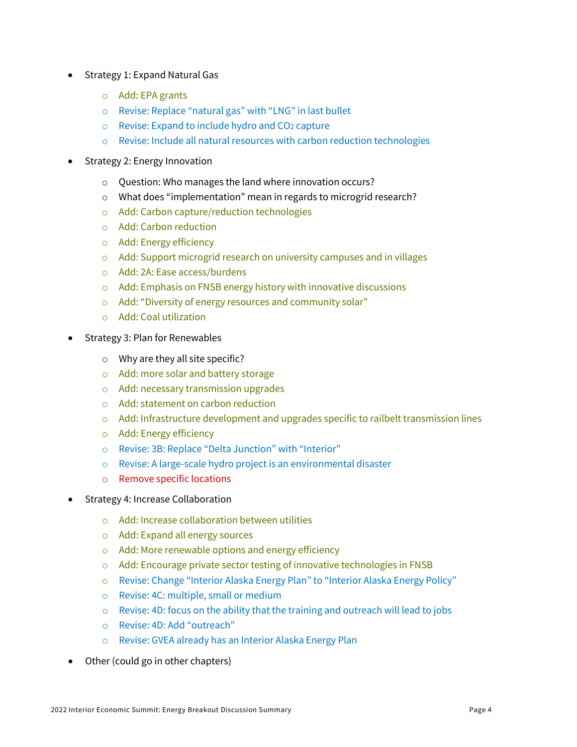- Strategy 1: Expand Natural Gas
	- o Add: EPA grants
	- o Revise: Replace "natural gas" with "LNG" in last bullet
	- o Revise: Expand to include hydro and CO2 capture
	- o Revise: Include all natural resources with carbon reduction technologies
- Strategy 2: Energy Innovation
	- o Question: Who manages the land where innovation occurs?
	- o What does "implementation" mean in regards to microgrid research?
	- o Add: Carbon capture/reduction technologies
	- o Add: Carbon reduction
	- o Add: Energy efficiency
	- o Add: Support microgrid research on university campuses and in villages
	- o Add: 2A: Ease access/burdens
	- o Add: Emphasis on FNSB energy history with innovative discussions
	- o Add: "Diversity of energy resources and community solar"
	- o Add: Coal utilization
- Strategy 3: Plan for Renewables
	- o Why are they all site specific?
	- o Add: more solar and battery storage
	- o Add: necessary transmission upgrades
	- o Add: statement on carbon reduction
	- o Add: Infrastructure development and upgrades specific to railbelt transmission lines
	- o Add: Energy efficiency
	- o Revise: 3B: Replace "Delta Junction" with "Interior"
	- o Revise: A large-scale hydro project is an environmental disaster
	- o Remove specific locations
- Strategy 4: Increase Collaboration
	- o Add: Increase collaboration between utilities
	- o Add: Expand all energy sources
	- o Add: More renewable options and energy efficiency
	- o Add: Encourage private sector testing of innovative technologies in FNSB
	- o Revise: Change "Interior Alaska Energy Plan" to "Interior Alaska Energy Policy"
	- o Revise: 4C: multiple, small or medium
	- o Revise: 4D: focus on the ability that the training and outreach will lead to jobs
	- o Revise: 4D: Add "outreach"
	- o Revise: GVEA already has an Interior Alaska Energy Plan
- Other (could go in other chapters)